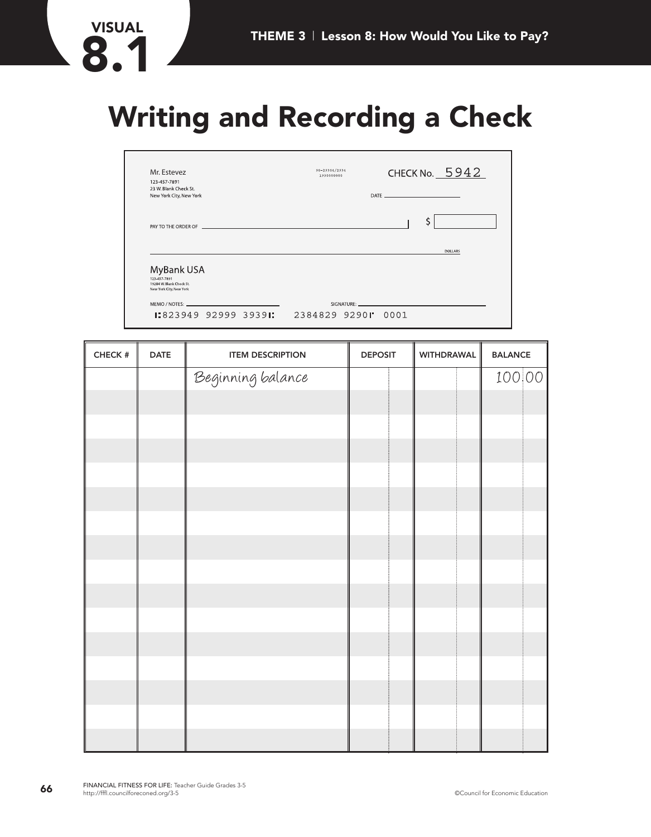# **Writing and Recording a Check**

| Mr. Estevez                                                                                                                                                                                                                    | CHECK No. $5942$<br>90-29304/2934<br>1930000000 |
|--------------------------------------------------------------------------------------------------------------------------------------------------------------------------------------------------------------------------------|-------------------------------------------------|
| 123-457-7891<br>23 W. Blank Check St.<br>New York City, New York                                                                                                                                                               |                                                 |
| PAY TO THE ORDER OF THE CONDITIONS OF THE CONDITIONS OF THE CONDITIONS OF THE CONDITIONS OF THE CONDITIONS OF                                                                                                                  | \$                                              |
|                                                                                                                                                                                                                                | <b>DOLLARS</b>                                  |
|                                                                                                                                                                                                                                |                                                 |
| MyBank USA<br>123-457-7891<br>19204 W. Blank Check St.<br>New York City, New York                                                                                                                                              |                                                 |
| MEMO / NOTES: New York Contract the Contract of the Contract of the Contract of the Contract of the Contract of the Contract of the Contract of the Contract of the Contract of the Contract of the Contract of the Contract o |                                                 |

| CHECK $\#$ | <b>DATE</b> | <b>ITEM DESCRIPTION</b> | <b>DEPOSIT</b> | <b>WITHDRAWAL</b> | <b>BALANCE</b> |
|------------|-------------|-------------------------|----------------|-------------------|----------------|
|            |             | Beginning balance       |                |                   | 100 00         |
|            |             |                         |                |                   |                |
|            |             |                         |                |                   |                |
|            |             |                         |                |                   |                |
|            |             |                         |                |                   |                |
|            |             |                         |                |                   |                |
|            |             |                         |                |                   |                |
|            |             |                         |                |                   |                |
|            |             |                         |                |                   |                |
|            |             |                         |                |                   |                |
|            |             |                         |                |                   |                |
|            |             |                         |                |                   |                |
|            |             |                         |                |                   |                |
|            |             |                         |                |                   |                |
|            |             |                         |                |                   |                |
|            |             |                         |                |                   |                |

VISUAL<br>**8.1**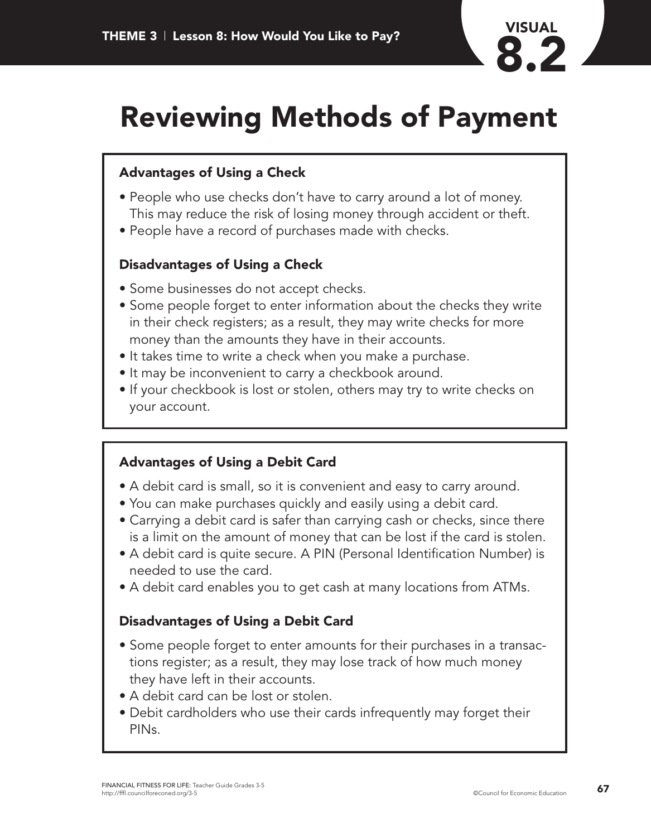

# **Reviewing Methods of Payment**

## **Advantages of Using a Check**

- People who use checks don't have to carry around a lot of money. This may reduce the risk of losing money through accident or theft.
- People have a record of purchases made with checks.

### **Disadvantages of Using a Check**

- Some businesses do not accept checks.
- Some people forget to enter information about the checks they write in their check registers; as a result, they may write checks for more money than the amounts they have in their accounts.
- It takes time to write a check when you make a purchase.
- It may be inconvenient to carry a checkbook around.
- If your checkbook is lost or stolen, others may try to write checks on your account.

#### **Advantages of Using a Debit Card**

- A debit card is small, so it is convenient and easy to carry around.
- You can make purchases quickly and easily using a debit card.
- Carrying a debit card is safer than carrying cash or checks, since there is a limit on the amount of money that can be lost if the card is stolen.
- A debit card is quite secure. A PIN (Personal Identification Number) is needed to use the card.
- A debit card enables you to get cash at many locations from ATMs.

#### **Disadvantages of Using a Debit Card**

- Some people forget to enter amounts for their purchases in a transactions register; as a result, they may lose track of how much money they have left in their accounts.
- A debit card can be lost or stolen.
- Debit cardholders who use their cards infrequently may forget their PINs.